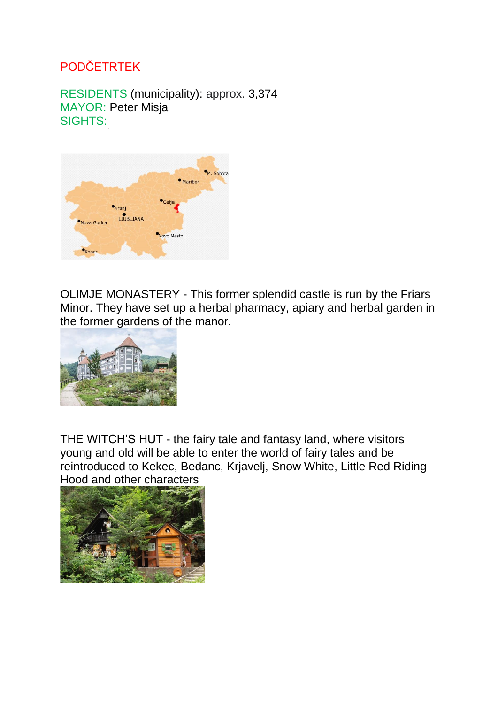## PODČETRTEK

RESIDENTS (municipality): approx. 3,374 MAYOR: Peter Misja SIGHTS:



OLIMJE MONASTERY - This former splendid castle is run by the Friars Minor. They have set up a herbal pharmacy, apiary and herbal garden in the former gardens of the manor.



THE WITCH'S HUT - the fairy tale and fantasy land, where visitors young and old will be able to enter the world of fairy tales and be reintroduced to Kekec, Bedanc, Krjavelj, Snow White, Little Red Riding Hood and other characters

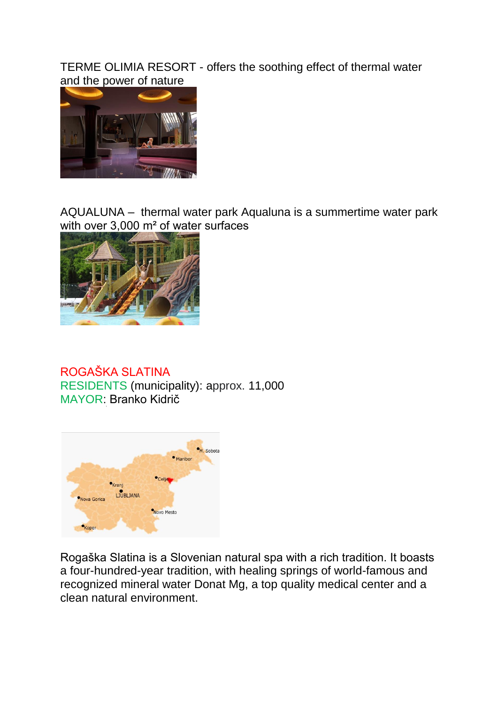TERME OLIMIA RESORT - offers the soothing effect of thermal water and the power of nature



AQUALUNA – thermal water park Aqualuna is a summertime water park with over 3,000 m<sup>2</sup> of water surfaces



ROGAŠKA SLATINA RESIDENTS (municipality): approx. 11,000 MAYOR: Branko Kidrič



Rogaška Slatina is a Slovenian natural spa with a rich tradition. It boasts a four-hundred-year tradition, with healing springs of world-famous and recognized mineral water Donat Mg, a top quality medical center and a clean natural environment.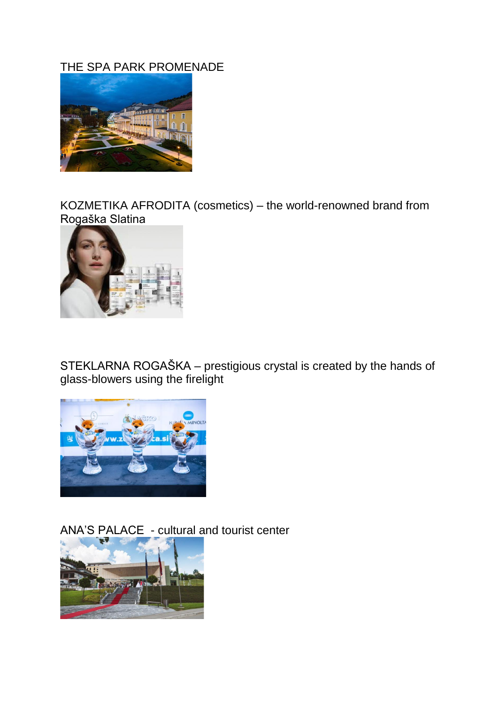## THE SPA PARK PROMENADE



KOZMETIKA AFRODITA (cosmetics) – the world-renowned brand from Rogaška Slatina



STEKLARNA ROGAŠKA – prestigious crystal is created by the hands of glass-blowers using the firelight



ANA'S PALACE - cultural and tourist center

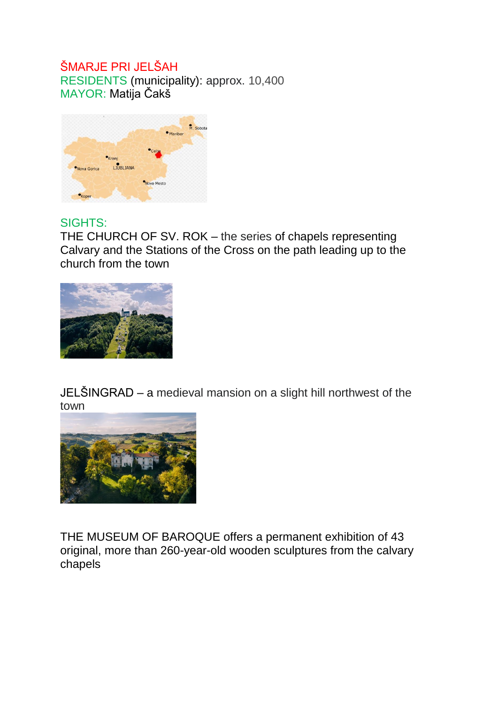## ŠMARJE PRI JELŠAH

RESIDENTS (municipality): approx. 10,400 MAYOR: Matija Čakš



## SIGHTS:

THE CHURCH OF SV. ROK – the series of chapels representing Calvary and the Stations of the Cross on the path leading up to the church from the town



JELŠINGRAD – a medieval mansion on a slight hill northwest of the town



THE MUSEUM OF BAROQUE offers a permanent exhibition of 43 original, more than 260-year-old wooden sculptures from the calvary chapels